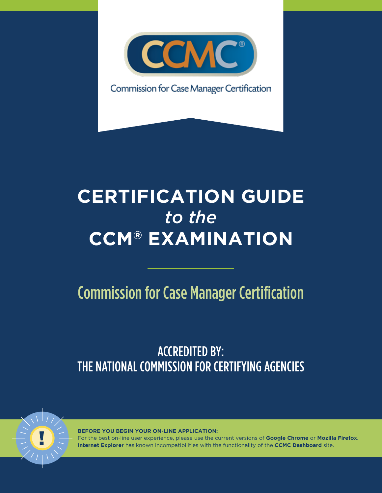

# **CERTIFICATION GUIDE** *to the* **CCM**® **EXAMINATION**

Commission for Case Manager Certification

ACCREDITED BY: THE NATIONAL COMMISSION FOR CERTIFYING AGENCIES



**BEFORE YOU BEGIN YOUR ON-LINE APPLICATION:** 

For the best on-line user experience, please use the current versions of **Google Chrome** or **Mozilla Firefox**. **Internet Explorer** has known incompatibilities with the functionality of the **CCMC Dashboard** site.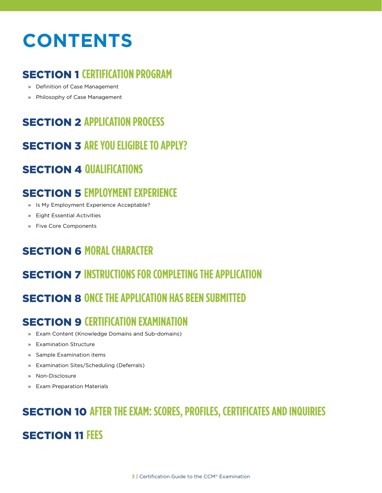# **CONTENTS**

## SECTION 1 **CERTIFICATION PROGRAM**

- » Definition of Case Management
- » Philosophy of Case Management

## SECTION 2 **APPLICATION PROCESS**

## SECTION 3 **ARE YOU ELIGIBLE TO APPLY?**

## SECTION 4 **QUALIFICATIONS**

## SECTION 5 **EMPLOYMENT EXPERIENCE**

- » Is My Employment Experience Acceptable?
- » Eight Essential Activities
- » Five Core Components

## SECTION 6 **MORAL CHARACTER**

## SECTION 7 **INSTRUCTIONS FOR COMPLETING THE APPLICATION**

## SECTION 8 **ONCE THE APPLICATION HAS BEEN SUBMITTED**

## SECTION 9 **CERTIFICATION EXAMINATION**

- » Exam Content (Knowledge Domains and Sub-domains)
- » Examination Structure
- » Sample Examination items
- » Examination Sites/Scheduling (Deferrals)
- » Non-Disclosure
- » Exam Preparation Materials

## SECTION 10 **AFTER THE EXAM: SCORES, PROFILES, CERTIFICATES AND INQUIRIES**

## SECTION 11 **FEES**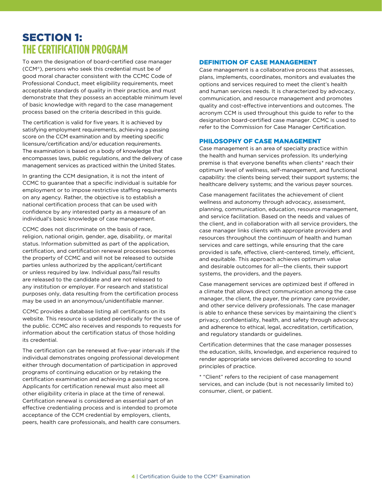## SECTION 1: **THE CERTIFICATION PROGRAM**

To earn the designation of board-certified case manager (CCM®), persons who seek this credential must be of good moral character consistent with the CCMC Code of Professional Conduct, meet eligibility requirements, meet acceptable standards of quality in their practice, and must demonstrate that they possess an acceptable minimum level of basic knowledge with regard to the case management process based on the criteria described in this guide.

The certification is valid for five years. It is achieved by satisfying employment requirements, achieving a passing score on the CCM examination and by meeting specific licensure/certification and/or education requirements. The examination is based on a body of knowledge that encompasses laws, public regulations, and the delivery of case management services as practiced within the United States.

In granting the CCM designation, it is not the intent of CCMC to guarantee that a specific individual is suitable for employment or to impose restrictive staffing requirements on any agency. Rather, the objective is to establish a national certification process that can be used with confidence by any interested party as a measure of an individual's basic knowledge of case management.

CCMC does not discriminate on the basis of race, religion, national origin, gender, age, disability, or marital status. Information submitted as part of the application, certification, and certification renewal processes becomes the property of CCMC and will not be released to outside parties unless authorized by the applicant/certificant or unless required by law. Individual pass/fail results are released to the candidate and are not released to any institution or employer. For research and statistical purposes only, data resulting from the certification process may be used in an anonymous/unidentifiable manner.

CCMC provides a database listing all certificants on its website. This resource is updated periodically for the use of the public. CCMC also receives and responds to requests for information about the certification status of those holding its credential.

The certification can be renewed at five-year intervals if the individual demonstrates ongoing professional development either through documentation of participation in approved programs of continuing education or by retaking the certification examination and achieving a passing score. Applicants for certification renewal must also meet all other eligibility criteria in place at the time of renewal. Certification renewal is considered an essential part of an effective credentialing process and is intended to promote acceptance of the CCM credential by employers, clients, peers, health care professionals, and health care consumers.

### DEFINITION OF CASE MANAGEMENT

Case management is a collaborative process that assesses, plans, implements, coordinates, monitors and evaluates the options and services required to meet the client's health and human services needs. It is characterized by advocacy, communication, and resource management and promotes quality and cost-effective interventions and outcomes. The acronym CCM is used throughout this guide to refer to the designation board-certified case manager. CCMC is used to refer to the Commission for Case Manager Certification.

### PHILOSOPHY OF CASE MANAGEMENT

Case management is an area of specialty practice within the health and human services profession. Its underlying premise is that everyone benefits when clients\* reach their optimum level of wellness, self-management, and functional capability: the clients being served; their support systems; the healthcare delivery systems; and the various payer sources.

Case management facilitates the achievement of client wellness and autonomy through advocacy, assessment, planning, communication, education, resource management, and service facilitation. Based on the needs and values of the client, and in collaboration with all service providers, the case manager links clients with appropriate providers and resources throughout the continuum of health and human services and care settings, while ensuring that the care provided is safe, effective, client-centered, timely, efficient, and equitable. This approach achieves optimum value and desirable outcomes for all—the clients, their support systems, the providers, and the payers.

Case management services are optimized best if offered in a climate that allows direct communication among the case manager, the client, the payer, the primary care provider, and other service delivery professionals. The case manager is able to enhance these services by maintaining the client's privacy, confidentiality, health, and safety through advocacy and adherence to ethical, legal, accreditation, certification, and regulatory standards or guidelines.

Certification determines that the case manager possesses the education, skills, knowledge, and experience required to render appropriate services delivered according to sound principles of practice.

\* "Client" refers to the recipient of case management services, and can include (but is not necessarily limited to) consumer, client, or patient.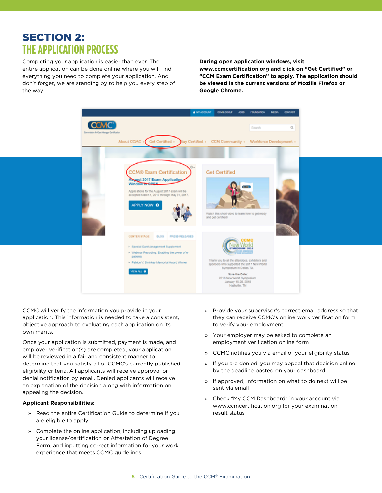## SECTION 2: **THE APPLICATION PROCESS**

Completing your application is easier than ever. The entire application can be done online where you will find everything you need to complete your application. And don't forget, we are standing by to help you every step of the way.

**During open application windows, visit [www.ccmcertification.org](http://www.ccmcertification.org) and click on "Get Certified" or "CCM Exam Certification" to apply. The application should be viewed in the current versions of [Mozilla Firefox](http://www.mozilla.org/en-US/firefox/new/) or [Google Chrome.](https://www.google.com/intl/en/chrome/browser/)**



CCMC will verify the information you provide in your application. This information is needed to take a consistent, objective approach to evaluating each application on its own merits.

Once your application is submitted, payment is made, and employer verification(s) are completed, your application will be reviewed in a fair and consistent manner to determine that you satisfy all of CCMC's currently published eligibility criteria. All applicants will receive approval or denial notification by email. Denied applicants will receive an explanation of the decision along with information on appealing the decision.

### **Applicant Responsibilities:**

- » Read the entire Certification Guide to determine if you are eligible to apply
- » Complete the online application, including uploading your license/certification or Attestation of Degree Form, and inputting correct information for your work experience that meets CCMC guidelines
- » Provide your supervisor's correct email address so that they can receive CCMC's online work verification form to verify your employment
- » Your employer may be asked to complete an employment verification online form
- » CCMC notifies you via email of your eligibility status
- » If you are denied, you may appeal that decision online by the deadline posted on your dashboard
- » If approved, information on what to do next will be sent via email
- » Check "My CCM Dashboard" in your account via [www.ccmcertification.org](http://www.ccmcertification.org) for your examination result status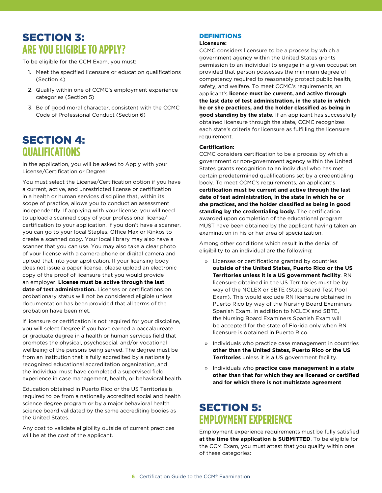## SECTION 3: **ARE YOU ELIGIBLE TO APPLY?**

To be eligible for the CCM Exam, you must:

- 1. Meet the specified licensure or education qualifications (Section 4)
- 2. Qualify within one of CCMC's employment experience categories (Section 5)
- 3. Be of good moral character, consistent with the CCMC Code of Professional Conduct (Section 6)

## SECTION 4: **QUALIFICATIONS**

In the application, you will be asked to Apply with your License/Certification or Degree:

You must select the License/Certification option if you have a current, active, and unrestricted license or certification in a health or human services discipline that, within its scope of practice, allows you to conduct an assessment independently. If applying with your license, you will need to upload a scanned copy of your professional license/ certification to your application. If you don't have a scanner, you can go to your local Staples, Office Max or Kinkos to create a scanned copy. Your local library may also have a scanner that you can use. You may also take a clear photo of your license with a camera phone or digital camera and upload that into your application. If your licensing body does not issue a paper license, please upload an electronic copy of the proof of licensure that you would provide an employer. **License must be active through the last date of test administration.** Licenses or certifications on probationary status will not be considered eligible unless documentation has been provided that all terms of the probation have been met.

If licensure or certification is not required for your discipline, you will select Degree if you have earned a baccalaureate or graduate degree in a health or human services field that promotes the physical, psychosocial, and/or vocational wellbeing of the persons being served. The degree must be from an institution that is fully accredited by a nationally recognized educational accreditation organization, and the individual must have completed a supervised field experience in case management, health, or behavioral health.

Education obtained in Puerto Rico or the US Territories is required to be from a nationally accredited social and health science degree program or by a major behavioral health science board validated by the same accrediting bodies as the United States.

Any cost to validate eligibility outside of current practices will be at the cost of the applicant.

### DEFINITIONS

### **Licensure:**

CCMC considers licensure to be a process by which a government agency within the United States grants permission to an individual to engage in a given occupation, provided that person possesses the minimum degree of competency required to reasonably protect public health, safety, and welfare. To meet CCMC's requirements, an applicant's **license must be current, and active through the last date of test administration, in the state in which he or she practices, and the holder classified as being in good standing by the state.** If an applicant has successfully obtained licensure through the state, CCMC recognizes each state's criteria for licensure as fulfilling the licensure requirement.

### **Certification:**

CCMC considers certification to be a process by which a government or non-government agency within the United States grants recognition to an individual who has met certain predetermined qualifications set by a credentialing body. To meet CCMC's requirements, an applicant's **certification must be current and active through the last date of test administration, in the state in which he or she practices, and the holder classified as being in good standing by the credentialing body.** The certification awarded upon completion of the educational program MUST have been obtained by the applicant having taken an examination in his or her area of specialization.

Among other conditions which result in the denial of eligibility to an individual are the following:

- » Licenses or certifications granted by countries **outside of the United States, Puerto Rico or the US Territories unless it is a US government facility**. RN licensure obtained in the US Territories must be by way of the NCLEX or SBTE (State Board Test Pool Exam). This would exclude RN licensure obtained in Puerto Rico by way of the Nursing Board Examiners Spanish Exam. In addition to NCLEX and SBTE, the Nursing Board Examiners Spanish Exam will be accepted for the state of Florida only when RN licensure is obtained in Puerto Rico.
- » Individuals who practice case management in countries **other than the United States, Puerto Rico or the US Territories** unless it is a US government facility.
- » Individuals who **practice case management in a state other than that for which they are licensed or certified and for which there is not multistate agreement**

## SECTION 5: **EMPLOYMENT EXPERIENCE**

Employment experience requirements must be fully satisfied **at the time the application is SUBMITTED**. To be eligible for the CCM Exam, you must attest that you qualify within one of these categories: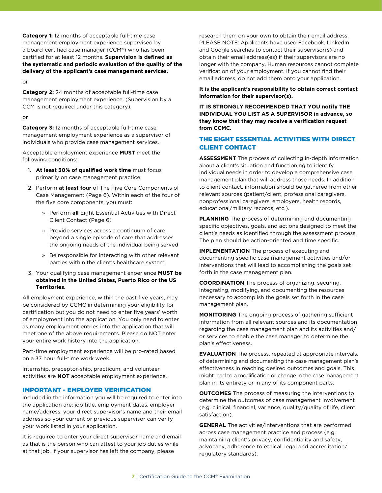**Category 1:** 12 months of acceptable full-time case management employment experience supervised by a board-certified case manager (CCM®) who has been certified for at least 12 months. **Supervision is defined as the systematic and periodic evaluation of the quality of the delivery of the applicant's case management services.**

or

**Category 2:** 24 months of acceptable full-time case management employment experience. (Supervision by a CCM is not required under this category).

or

**Category 3:** 12 months of acceptable full-time case management employment experience as a supervisor of individuals who provide case management services.

Acceptable employment experience **MUST** meet the following conditions:

- 1. **At least 30% of qualified work time** must focus primarily on case management practice.
- 2. Perform **at least four** of The Five Core Components of Case Management (Page 6). Within each of the four of the five core components, you must:
	- » Perform **all** Eight Essential Activities with Direct Client Contact (Page 6)
	- » Provide services across a continuum of care, beyond a single episode of care that addresses the ongoing needs of the individual being served
	- » Be responsible for interacting with other relevant parties within the client's healthcare system
- 3. Your qualifying case management experience **MUST be obtained in the United States, Puerto Rico or the US Territories.**

All employment experience, within the past five years, may be considered by CCMC in determining your eligibility for certification but you do not need to enter five years' worth of employment into the application. You only need to enter as many employment entries into the application that will meet one of the above requirements. Please do NOT enter your entire work history into the application.

Part-time employment experience will be pro-rated based on a 37 hour full-time work week.

Internship, preceptor-ship, practicum, and volunteer activities are **NOT** acceptable employment experience.

### IMPORTANT - EMPLOYER VERIFICATION

Included in the information you will be required to enter into the application are: job title, employment dates, employer name/address, your direct supervisor's name and their email address so your current or previous supervisor can verify your work listed in your application.

It is required to enter your direct supervisor name and email as that is the person who can attest to your job duties while at that job. If your supervisor has left the company, please

research them on your own to obtain their email address. PLEASE NOTE: Applicants have used Facebook, LinkedIn and Google searches to contact their supervisor(s) and obtain their email address(es) if their supervisors are no longer with the company. Human resources cannot complete verification of your employment. If you cannot find their email address, do not add them onto your application.

### **It is the applicant's responsibility to obtain correct contact information for their supervisor(s).**

**IT IS STRONGLY RECOMMENDED THAT YOU notify THE INDIVIDUAL YOU LIST AS A SUPERVISOR in advance, so they know that they may receive a verification request from CCMC.**

### THE EIGHT ESSENTIAL ACTIVITIES WITH DIRECT CLIENT CONTACT

**ASSESSMENT** The process of collecting in-depth information about a client's situation and functioning to identify individual needs in order to develop a comprehensive case management plan that will address those needs. In addition to client contact, information should be gathered from other relevant sources (patient/client, professional caregivers, nonprofessional caregivers, employers, health records, educational/military records, etc.).

**PLANNING** The process of determining and documenting specific objectives, goals, and actions designed to meet the client's needs as identified through the assessment process. The plan should be action-oriented and time specific.

**IMPLEMENTATION** The process of executing and documenting specific case management activities and/or interventions that will lead to accomplishing the goals set forth in the case management plan.

**COORDINATION** The process of organizing, securing, integrating, modifying, and documenting the resources necessary to accomplish the goals set forth in the case management plan.

**MONITORING** The ongoing process of gathering sufficient information from all relevant sources and its documentation regarding the case management plan and its activities and/ or services to enable the case manager to determine the plan's effectiveness.

**EVALUATION** The process, repeated at appropriate intervals, of determining and documenting the case management plan's effectiveness in reaching desired outcomes and goals. This might lead to a modification or change in the case management plan in its entirety or in any of its component parts.

**OUTCOMES** The process of measuring the interventions to determine the outcomes of case management involvement (e.g. clinical, financial, variance, quality/quality of life, client satisfaction).

**GENERAL** The activities/interventions that are performed across case management practice and process (e.g. maintaining client's privacy, confidentiality and safety, advocacy, adherence to ethical, legal and accreditation/ regulatory standards).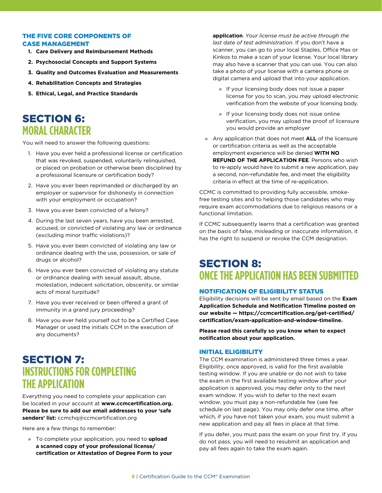### THE FIVE CORE COMPONENTS OF CASE MANAGEMENT

- **1. Care Delivery and Reimbursement Methods**
- **2. Psychosocial Concepts and Support Systems**
- **3. Quality and Outcomes Evaluation and Measurements**
- **4. Rehabilitation Concepts and Strategies**
- **5. Ethical, Legal, and Practice Standards**

## SECTION 6: **MORAL CHARACTER**

You will need to answer the following questions:

- 1. Have you ever held a professional license or certification that was revoked, suspended, voluntarily relinquished, or placed on probation or otherwise been disciplined by a professional licensure or certification body?
- 2. Have you ever been reprimanded or discharged by an employer or supervisor for dishonesty in connection with your employment or occupation?
- 3. Have you ever been convicted of a felony?
- 4. During the last seven years, have you been arrested, accused, or convicted of violating any law or ordinance (excluding minor traffic violations)?
- 5. Have you ever been convicted of violating any law or ordinance dealing with the use, possession, or sale of drugs or alcohol?
- 6. Have you ever been convicted of violating any statute or ordinance dealing with sexual assault, abuse, molestation, indecent solicitation, obscenity, or similar acts of moral turpitude?
- 7. Have you ever received or been offered a grant of immunity in a grand jury proceeding?
- 8. Have you ever held yourself out to be a Certified Case Manager or used the initials CCM in the execution of any documents?

## SECTION 7: **INSTRUCTIONS FOR COMPLETING THE APPLICATION**

Everything you need to complete your application can be located in your account at **www.ccmcertification.org. Please be sure to add our email addresses to your 'safe senders' list:** [ccmchq@ccmcertification.org](mailto:ccmchq%40ccmcertification.org?subject=)

Here are a few things to remember:

» To complete your application, you need to **upload a scanned copy of your professional license/ certification or Attestation of Degree Form to your**  **application**. *Your license must be active through the last date of test administration.* If you don't have a scanner, you can go to your local Staples, Office Max or Kinkos to make a scan of your license. Your local library may also have a scanner that you can use. You can also take a photo of your license with a camera phone or digital camera and upload that into your application.

- » If your licensing body does not issue a paper license for you to scan, you may upload electronic verification from the website of your licensing body.
- » If your licensing body does not issue online verification, you may upload the proof of licensure you would provide an employer
- » Any application that does not meet **ALL** of the licensure or certification criteria as well as the acceptable employment experience will be denied **WITH NO REFUND OF THE APPLICATION FEE**. Persons who wish to re-apply would have to submit a new application, pay a second, non-refundable fee, and meet the eligibility criteria in effect at the time of re-application.

CCMC is committed to providing fully accessible, smokefree testing sites and to helping those candidates who may require exam accommodations due to religious reasons or a functional limitation.

If CCMC subsequently learns that a certification was granted on the basis of false, misleading or inaccurate information, it has the right to suspend or revoke the CCM designation.

## SECTION 8: **ONCE THE APPLICATION HAS BEEN SUBMITTED**

### NOTIFICATION OF ELIGIBILITY STATUS

Eligibility decisions will be sent by email based on the **Exam Application Schedule and Notification Timeline posted on our website — [https://ccmcertification.org/get-certified/](https://ccmcertification.org/get-certified/certification/exam-application-and-window-timeline) [certification/exam-application-and-window-timeline](https://ccmcertification.org/get-certified/certification/exam-application-and-window-timeline).**

**Please read this carefully so you know when to expect notification about your application.**

### INITIAL ELIGIBILITY

The CCM examination is administered three times a year. Eligibility, once approved, is valid for the first available testing window. If you are unable or do not wish to take the exam in the first available testing window after your application is approved, you may defer only to the next exam window. If you wish to defer to the next exam window, you must pay a non-refundable fee (see fee schedule on last page). You may only defer one time, after which, if you have not taken your exam, you must submit a new application and pay all fees in place at that time.

If you defer, you must pass the exam on your first try. If you do not pass, you will need to resubmit an application and pay all fees again to take the exam again.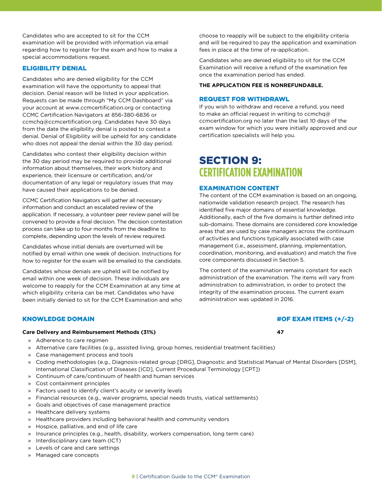Candidates who are accepted to sit for the CCM examination will be provided with information via email regarding how to register for the exam and how to make a special accommodations request.

### ELIGIBILITY DENIAL

Candidates who are denied eligibility for the CCM examination will have the opportunity to appeal that decision. Denial reason will be listed in your application. Requests can be made through "My CCM Dashboard" via your account at [www.ccmcertification.org](http://www.ccmcertification.org) or contacting CCMC Certification Navigators at 856-380-6836 or ccmchq@ccmcertification.org. Candidates have 30 days from the date the eligibility denial is posted to contest a denial. Denial of Eligibility will be upheld for any candidate who does not appeal the denial within the 30 day period.

Candidates who contest their eligibility decision within the 30 day period may be required to provide additional information about themselves, their work history and experience, their licensure or certification, and/or documentation of any legal or regulatory issues that may have caused their applications to be denied.

CCMC Certification Navigators will gather all necessary information and conduct an escalated review of the application. If necessary, a volunteer peer review panel will be convened to provide a final decision. The decision contestation process can take up to four months from the deadline to complete, depending upon the levels of review required.

Candidates whose initial denials are overturned will be notified by email within one week of decision. Instructions for how to register for the exam will be emailed to the candidate.

Candidates whose denials are upheld will be notified by email within one week of decision. These individuals are welcome to reapply for the CCM Examination at any time at which eligibility criteria can be met. Candidates who have been initially denied to sit for the CCM Examination and who

choose to reapply will be subject to the eligibility criteria and will be required to pay the application and examination fees in place at the time of re-application.

Candidates who are denied eligibility to sit for the CCM Examination will receive a refund of the examination fee once the examination period has ended.

### **THE APPLICATION FEE IS NONREFUNDABLE.**

### REQUEST FOR WITHDRAWL

If you wish to withdraw and receive a refund, you need to make an official request in writing to ccmchq@ ccmcertification.org no later than the last 10 days of the exam window for which you were initially approved and our certification specialists will help you.

## SECTION 9: **CERTIFICATION EXAMINATION**

### EXAMINATION CONTENT

The content of the CCM examination is based on an ongoing, nationwide validation research project. The research has identified five major domains of essential knowledge. Additionally, each of the five domains is further defined into sub-domains. These domains are considered core knowledge areas that are used by case managers across the continuum of activities and functions typically associated with case management (i.e., assessment, planning, implementation, coordination, monitoring, and evaluation) and match the five core components discussed in Section 5.

The content of the examination remains constant for each administration of the examination. The items will vary from administration to administration, in order to protect the integrity of the examination process. The current exam administration was updated in 2016.

### KNOWLEDGE DOMAIN #OF EXAM ITEMS (+/-2)

### **Care Delivery and Reimbursement Methods (31%) 47**

- » Adherence to care regimen
- » Alternative care facilities (e.g., assisted living, group homes, residential treatment facilities)
- » Case management process and tools
- » Coding methodologies (e.g., Diagnosis-related group [DRG], Diagnostic and Statistical Manual of Mental Disorders [DSM], International Classification of Diseases [ICD], Current Procedural Terminology [CPT])
- » Continuum of care/continuum of health and human services
- » Cost containment principles
- » Factors used to identify client's acuity or severity levels
- » Financial resources (e.g., waiver programs, special needs trusts, viatical settlements)
- » Goals and objectives of case management practice
- » Healthcare delivery systems
- » Healthcare providers including behavioral health and community vendors
- » Hospice, palliative, and end of life care
- » Insurance principles (e.g., health, disability, workers compensation, long term care)
- » Interdisciplinary care team (ICT)
- » Levels of care and care settings
- » Managed care concepts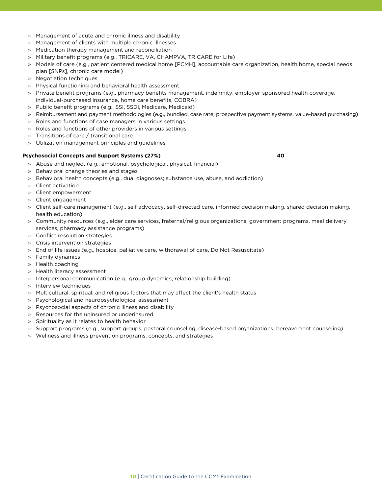- » Management of acute and chronic illness and disability
- » Management of clients with multiple chronic illnesses
- » Medication therapy management and reconciliation
- » Military benefit programs (e.g., TRICARE, VA, CHAMPVA, TRICARE for Life)
- » Models of care (e.g., patient centered medical home [PCMH], accountable care organization, health home, special needs plan [SNPs], chronic care model)
- » Negotiation techniques
- » Physical functioning and behavioral health assessment
- » Private benefit programs (e.g., pharmacy benefits management, indemnity, employer-sponsored health coverage, individual-purchased insurance, home care benefits, COBRA)
- » Public benefit programs (e.g., SSI, SSDI, Medicare, Medicaid)
- » Reimbursement and payment methodologies (e.g., bundled, case rate, prospective payment systems, value-based purchasing)
- » Roles and functions of case managers in various settings
- » Roles and functions of other providers in various settings
- » Transitions of care / transitional care
- » Utilization management principles and guidelines

### **Psychosocial Concepts and Support Systems (27%) 40**

- » Abuse and neglect (e.g., emotional, psychological, physical, financial)
- » Behavioral change theories and stages
- » Behavioral health concepts (e.g., dual diagnoses; substance use, abuse, and addiction)
- » Client activation
- » Client empowerment
- » Client engagement
- » Client self-care management (e.g., self advocacy, self-directed care, informed decision making, shared decision making, health education)
- » Community resources (e.g., elder care services, fraternal/religious organizations, government programs, meal delivery services, pharmacy assistance programs)
- » Conflict resolution strategies
- » Crisis intervention strategies
- » End of life issues (e.g., hospice, palliative care, withdrawal of care, Do Not Resuscitate)
- » Family dynamics
- » Health coaching
- » Health literacy assessment
- » Interpersonal communication (e.g., group dynamics, relationship building)
- » Interview techniques
- » Multicultural, spiritual, and religious factors that may affect the client's health status
- » Psychological and neuropsychological assessment
- » Psychosocial aspects of chronic illness and disability
- » Resources for the uninsured or underinsured
- » Spirituality as it relates to health behavior
- » Support programs (e.g., support groups, pastoral counseling, disease-based organizations, bereavement counseling)
- » Wellness and illness prevention programs, concepts, and strategies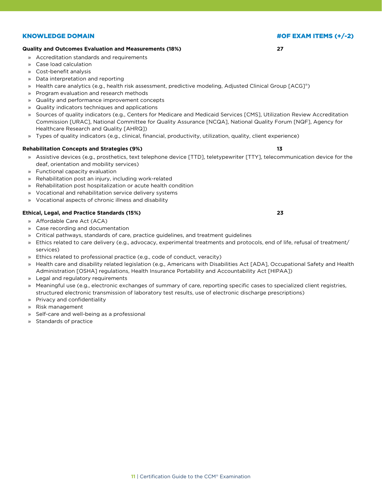### KNOWLEDGE DOMAIN #OF EXAM ITEMS (+/-2)

### **Quality and Outcomes Evaluation and Measurements (18%) 27**

- » Accreditation standards and requirements
- » Case load calculation
- » Cost-benefit analysis
- » Data interpretation and reporting
- » Health care analytics (e.g., health risk assessment, predictive modeling, Adjusted Clinical Group [ACG]®)
- » Program evaluation and research methods
- » Quality and performance improvement concepts
- » Quality indicators techniques and applications
- » Sources of quality indicators (e.g., Centers for Medicare and Medicaid Services [CMS], Utilization Review Accreditation Commission [URAC], National Committee for Quality Assurance [NCQA], National Quality Forum [NQF], Agency for Healthcare Research and Quality [AHRQ])
- » Types of quality indicators (e.g., clinical, financial, productivity, utilization, quality, client experience)

### **Rehabilitation Concepts and Strategies (9%) 13**

- » Assistive devices (e.g., prosthetics, text telephone device [TTD], teletypewriter [TTY], telecommunication device for the deaf, orientation and mobility services)
- » Functional capacity evaluation
- » Rehabilitation post an injury, including work-related
- » Rehabilitation post hospitalization or acute health condition
- » Vocational and rehabilitation service delivery systems
- » Vocational aspects of chronic illness and disability

### **Ethical, Legal, and Practice Standards (15%) 23**

- » Affordable Care Act (ACA)
- » Case recording and documentation
- » Critical pathways, standards of care, practice guidelines, and treatment guidelines
- » Ethics related to care delivery (e.g., advocacy, experimental treatments and protocols, end of life, refusal of treatment/ services)
- » Ethics related to professional practice (e.g., code of conduct, veracity)
- » Health care and disability related legislation (e.g., Americans with Disabilities Act [ADA], Occupational Safety and Health Administration [OSHA] regulations, Health Insurance Portability and Accountability Act [HIPAA])
- » Legal and regulatory requirements
- » Meaningful use (e.g., electronic exchanges of summary of care, reporting specific cases to specialized client registries, structured electronic transmission of laboratory test results, use of electronic discharge prescriptions)
- » Privacy and confidentiality
- » Risk management
- » Self-care and well-being as a professional
- » Standards of practice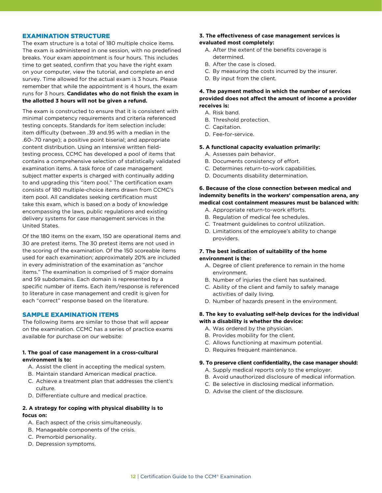### EXAMINATION STRUCTURE

The exam structure is a total of 180 multiple choice items. The exam is administered in one session, with no predefined breaks. Your exam appointment is four hours. This includes time to get seated, confirm that you have the right exam on your computer, view the tutorial, and complete an end survey. Time allowed for the actual exam is 3 hours. Please remember that while the appointment is 4 hours, the exam runs for 3 hours. **Candidates who do not finish the exam in the allotted 3 hours will not be given a refund.**

The exam is constructed to ensure that it is consistent with minimal competency requirements and criteria referenced testing concepts. Standards for item selection include: item difficulty (between .39 and.95 with a median in the .60-.70 range); a positive point biserial; and appropriate content distribution. Using an intensive written fieldtesting process, CCMC has developed a pool of items that contains a comprehensive selection of statistically validated examination items. A task force of case management subject matter experts is charged with continually adding to and upgrading this "item pool." The certification exam consists of 180 multiple-choice items drawn from CCMC's item pool. All candidates seeking certification must take this exam, which is based on a body of knowledge encompassing the laws, public regulations and existing delivery systems for case management services in the United States.

Of the 180 items on the exam, 150 are operational items and 30 are pretest items. The 30 pretest items are not used in the scoring of the examination. Of the 150 scoreable items used for each examination; approximately 20% are included in every administration of the examination as "anchor items." The examination is comprised of 5 major domains and 59 subdomains. Each domain is represented by a specific number of items. Each item/response is referenced to literature in case management and credit is given for each "correct" response based on the literature.

### SAMPLE EXAMINATION ITEMS

The following items are similar to those that will appear on the examination. CCMC has a series of [practice exams](https://ccmcertification.org/get-certified/exam-study-materials/practice-exams) available for purchase on our website:

### **1. The goal of case management in a cross-cultural environment is to:**

- A. Assist the client in accepting the medical system.
- B. Maintain standard American medical practice.
- C. Achieve a treatment plan that addresses the client's culture.
- D. Differentiate culture and medical practice.

### **2. A strategy for coping with physical disability is to focus on:**

- A. Each aspect of the crisis simultaneously.
- B. Manageable components of the crisis.
- C. Premorbid personality.
- D. Depression symptoms.

### **3. The effectiveness of case management services is evaluated most completely:**

- A. After the extent of the benefits coverage is determined.
- B. After the case is closed.
- C. By measuring the costs incurred by the insurer.
- D. By input from the client.

### **4. The payment method in which the number of services provided does not affect the amount of income a provider receives is:**

- A. Risk band.
- B. Threshold protection.
- C. Capitation.
- D. Fee-for-service.

### **5. A functional capacity evaluation primarily:**

- A. Assesses pain behavior.
- B. Documents consistency of effort.
- C. Determines return-to-work capabilities.
- D. Documents disability determination.

### **6. Because of the close connection between medical and indemnity benefits in the workers' compensation arena, any medical cost containment measures must be balanced with:**

- A. Appropriate return-to-work efforts.
- B. Regulation of medical fee schedules.
- C. Treatment guidelines to control utilization.
- D. Limitations of the employee's ability to change providers.

### **7. The best indication of suitability of the home environment is the:**

- A. Degree of client preference to remain in the home environment.
- B. Number of injuries the client has sustained.
- C. Ability of the client and family to safely manage activities of daily living.
- D. Number of hazards present in the environment.

### **8. The key to evaluating self-help devices for the individual with a disability is whether the device:**

- A. Was ordered by the physician.
- B. Provides mobility for the client.
- C. Allows functioning at maximum potential.
- D. Requires frequent maintenance.

### **9. To preserve client confidentiality, the case manager should:**

- A. Supply medical reports only to the employer.
- B. Avoid unauthorized disclosure of medical information.
- C. Be selective in disclosing medical information.
- D. Advise the client of the disclosure.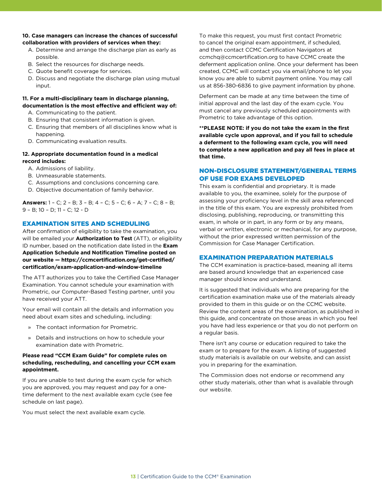### **10. Case managers can increase the chances of successful collaboration with providers of services when they:**

- A. Determine and arrange the discharge plan as early as possible.
- B. Select the resources for discharge needs.
- C. Quote benefit coverage for services.
- D. Discuss and negotiate the discharge plan using mutual input.

### **11. For a multi-disciplinary team in discharge planning, documentation is the most effective and efficient way of:**

- A. Communicating to the patient.
- B. Ensuring that consistent information is given.
- C. Ensuring that members of all disciplines know what is happening.
- D. Communicating evaluation results.

### **12. Appropriate documentation found in a medical record includes:**

- A. Admissions of liability.
- B. Unmeasurable statements.
- C. Assumptions and conclusions concerning care.
- D. Objective documentation of family behavior.

**Answers:** 1 – C; 2 – B; 3 – B; 4 – C; 5 – C; 6 – A; 7 – C; 8 – B; 9 – B; 10 – D; 11 – C; 12 - D

### EXAMINATION SITES AND SCHEDULING

After confirmation of eligibility to take the examination, you will be emailed your **Authorization to Test** (ATT), or eligibility ID number, based on the notification date listed in the **Exam Application Schedule and Notification Timeline posted on our website — https://ccmcertification.org/get-certified/ certification/exam-application-and-window-timeline**

The ATT authorizes you to take the Certified Case Manager Examination. You cannot schedule your examination with Prometric, our Computer-Based Testing partner, until you have received your ATT.

Your email will contain all the details and information you need about exam sites and scheduling, including:

- » The contact information for Prometric.
- » Details and instructions on how to schedule your examination date with Prometric.

### **Please read "CCM Exam Guide" for complete rules on scheduling, rescheduling, and cancelling your CCM exam appointment.**

If you are unable to test during the exam cycle for which you are approved, you may request and pay for a onetime deferment to the next available exam cycle (see fee schedule on last page).

You must select the next available exam cycle.

To make this request, you must first contact Prometric to cancel the original exam appointment, if scheduled, and then contact CCMC Certification Navigators at [ccmchq@ccmcertification.org](mailto:ccmchq%40ccmcertification.org?subject=) to have CCMC create the deferment application online. Once your deferment has been created, CCMC will contact you via email/phone to let you know you are able to submit payment online. You may call us at 856-380-6836 to give payment information by phone.

Deferment can be made at any time between the time of initial approval and the last day of the exam cycle. You must cancel any previously scheduled appointments with Prometric to take advantage of this option.

**\*\*PLEASE NOTE: if you do not take the exam in the first available cycle upon approval, and if you fail to schedule a deferment to the following exam cycle, you will need to complete a new application and pay all fees in place at that time.**

### NON-DISCLOSURE STATEMENT/GENERAL TERMS OF USE FOR EXAMS DEVELOPED

This exam is confidential and proprietary. It is made available to you, the examinee, solely for the purpose of assessing your proficiency level in the skill area referenced in the title of this exam. You are expressly prohibited from disclosing, publishing, reproducing, or transmitting this exam, in whole or in part, in any form or by any means, verbal or written, electronic or mechanical, for any purpose, without the prior expressed written permission of the Commission for Case Manager Certification.

### EXAMINATION PREPARATION MATERIALS

The CCM examination is practice-based, meaning all items are based around knowledge that an experienced case manager should know and understand.

It is suggested that individuals who are preparing for the certification examination make use of the materials already provided to them in this guide or on the CCMC website. Review the content areas of the examination, as published in this guide, and concentrate on those areas in which you feel you have had less experience or that you do not perform on a regular basis.

There isn't any course or education required to take the exam or to prepare for the exam. A listing of suggested study materials is available on our website, and can assist you in preparing for the examination.

The Commission does not endorse or recommend any other study materials, other than what is available through our website.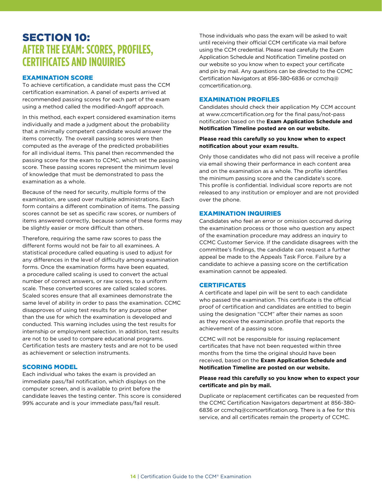## SECTION 10: **AFTER THE EXAM: SCORES, PROFILES, CERTIFICATES AND INQUIRIES**

### EXAMINATION SCORE

To achieve certification, a candidate must pass the CCM certification examination. A panel of experts arrived at recommended passing scores for each part of the exam using a method called the modified-Angoff approach.

In this method, each expert considered examination items individually and made a judgment about the probability that a minimally competent candidate would answer the items correctly. The overall passing scores were then computed as the average of the predicted probabilities for all individual items. This panel then recommended the passing score for the exam to CCMC, which set the passing score. These passing scores represent the minimum level of knowledge that must be demonstrated to pass the examination as a whole.

Because of the need for security, multiple forms of the examination, are used over multiple administrations. Each form contains a different combination of items. The passing scores cannot be set as specific raw scores, or numbers of items answered correctly, because some of these forms may be slightly easier or more difficult than others.

Therefore, requiring the same raw scores to pass the different forms would not be fair to all examinees. A statistical procedure called equating is used to adjust for any differences in the level of difficulty among examination forms. Once the examination forms have been equated, a procedure called scaling is used to convert the actual number of correct answers, or raw scores, to a uniform scale. These converted scores are called scaled scores. Scaled scores ensure that all examinees demonstrate the same level of ability in order to pass the examination. CCMC disapproves of using test results for any purpose other than the use for which the examination is developed and conducted. This warning includes using the test results for internship or employment selection. In addition, test results are not to be used to compare educational programs. Certification tests are mastery tests and are not to be used as achievement or selection instruments.

### SCORING MODEL

Each individual who takes the exam is provided an immediate pass/fail notification, which displays on the computer screen, and is available to print before the candidate leaves the testing center. This score is considered 99% accurate and is your immediate pass/fail result.

Those individuals who pass the exam will be asked to wait until receiving their official CCM certificate via mail before using the CCM credential. Please read carefully the Exam Application Schedule and Notification Timeline posted on our website so you know when to expect your certificate and pin by mail. Any questions can be directed to the CCMC Certification Navigators at 856-380-6836 or [ccmchq@](mailto:ccmchq%40ccmcertification.org?subject=) [ccmcertification.org](mailto:ccmchq%40ccmcertification.org?subject=).

### EXAMINATION PROFILES

Candidates should check their application My CCM account at www.ccmcertification.org for the final pass/not-pass notification based on the **Exam Application Schedule and Notification Timeline posted are on our website.**

### **Please read this carefully so you know when to expect notification about your exam results.**

Only those candidates who did not pass will receive a profile via email showing their performance in each content area and on the examination as a whole. The profile identifies the minimum passing score and the candidate's score. This profile is confidential. Individual score reports are not released to any institution or employer and are not provided over the phone.

### EXAMINATION INQUIRIES

Candidates who feel an error or omission occurred during the examination process or those who question any aspect of the examination procedure may address an inquiry to CCMC Customer Service. If the candidate disagrees with the committee's findings, the candidate can request a further appeal be made to the Appeals Task Force. Failure by a candidate to achieve a passing score on the certification examination cannot be appealed.

### **CERTIFICATES**

A certificate and lapel pin will be sent to each candidate who passed the examination. This certificate is the official proof of certification and candidates are entitled to begin using the designation "CCM" after their names as soon as they receive the examination profile that reports the achievement of a passing score.

CCMC will not be responsible for issuing replacement certificates that have not been requested within three months from the time the original should have been received, based on the **Exam Application Schedule and Notification Timeline are posted on our website.**

### **Please read this carefully so you know when to expect your certificate and pin by mail.**

Duplicate or replacement certificates can be requested from the CCMC Certification Navigators department at 856-380- 6836 or [ccmchq@ccmcertification.org](mailto:ccmchq%40ccmcertification.org?subject=). There is a fee for this service, and all certificates remain the property of CCMC.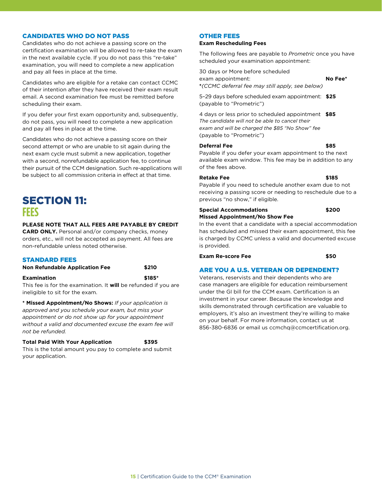### CANDIDATES WHO DO NOT PASS

Candidates who do not achieve a passing score on the certification examination will be allowed to re-take the exam in the next available cycle. If you do not pass this "re-take" examination, you will need to complete a new application and pay all fees in place at the time.

Candidates who are eligible for a retake can contact CCMC of their intention after they have received their exam result email. A second examination fee must be remitted before scheduling their exam.

If you defer your first exam opportunity and, subsequently, do not pass, you will need to complete a new application and pay all fees in place at the time.

Candidates who do not achieve a passing score on their second attempt or who are unable to sit again during the next exam cycle must submit a new application, together with a second, nonrefundable application fee, to continue their pursuit of the CCM designation. Such re-applications will be subject to all commission criteria in effect at that time.

## SECTION 11: **FEES**

### **PLEASE NOTE THAT ALL FEES ARE PAYABLE BY CREDIT**

**CARD ONLY.** Personal and/or company checks, money orders, etc., will not be accepted as payment. All fees are non-refundable unless noted otherwise.

### STANDARD FEES

| <b>Non Refundable Application Fee</b> | \$210 |
|---------------------------------------|-------|
|                                       |       |

**Examination \$185\*** This fee is for the examination. It **will** be refunded if you are ineligible to sit for the exam.

**\* Missed Appointment/No Shows:** *If your application is approved and you schedule your exam, but miss your appointment or do not show up for your appointment without a valid and documented excuse the exam fee will not be refunded.*

### **Total Paid With Your Application \$395**

This is the total amount you pay to complete and submit your application.

### OTHER FEES

### **Exam Rescheduling Fees**

The following fees are payable to *Prometric* once you have scheduled your examination appointment:

30 days or More before scheduled exam appointment: **No Fee\* \****(CCMC deferral fee may still apply, see below)*

5–29 days before scheduled exam appointment: **\$25** (payable to "Prometric")

4 days or less prior to scheduled appointment **\$85** *The candidate will not be able to cancel their exam and will be charged the \$85 "No Show" fee* (payable to "Prometric")

### **Deferral Fee \$85**

Payable if you defer your exam appointment to the next available exam window. This fee may be in addition to any of the fees above.

### **Retake Fee** \$185

Payable if you need to schedule another exam due to not receiving a passing score or needing to reschedule due to a previous "no show," if eligible.

### **Special Accommodations \$200 Missed Appointment/No Show Fee**

In the event that a candidate with a special accommodation has scheduled and missed their exam appointment, this fee is charged by CCMC unless a valid and documented excuse is provided.

**Exam Re-score Fee**  $$50$ 

### ARE YOU A U.S. VETERAN OR DEPENDENT?

Veterans, reservists and their dependents who are case managers are eligible for education reimbursement under the GI bill for the CCM exam. Certification is an investment in your career. Because the knowledge and skills demonstrated through certification are valuable to employers, it's also an investment they're willing to make on your behalf. For more information, contact us at 856-380-6836 or email us [ccmchq@ccmcertification.org](mailto:ccmchq%40ccmcertification.org?subject=).